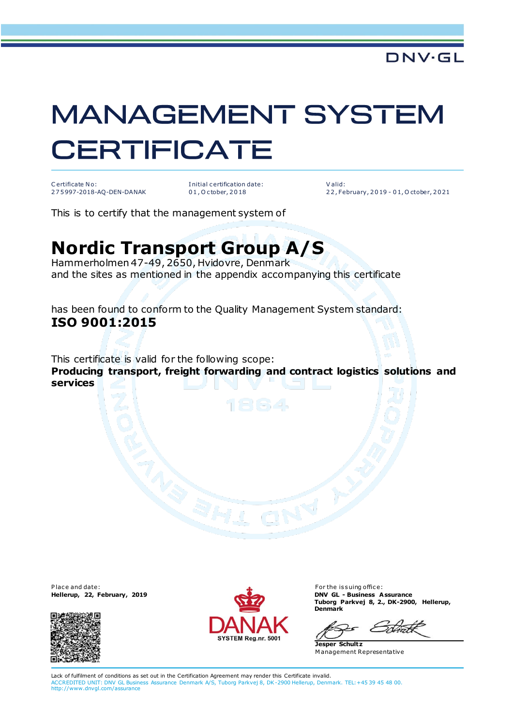## **MANAGEMENT SYSTEM CERTIFICATE**

C ertificate No: 2 7 5 997-2018-AQ-DEN-DANAK I nitial c ertification date: 0 1 , O c tober, 2 0 18

V alid: 22, February, 2 0 19 - 0 1, O ctober, 2 0 21

This is to certify that the management system of

## **Nordic Transport Group A/S**

Hammerholmen 47-49, 2650, Hvidovre, Denmark and the sites as mentioned in the appendix accompanying this certificate

has been found to conform to the Quality Management System standard: **ISO 9001:2015**

This certificate is valid for the following scope: **Producing transport, freight forwarding and contract logistics solutions and services**

Place and date:





For the issuing office: **Hellerup, 22, February, 2019 DNV GL - Business Assurance Tuborg Parkvej 8, 2., DK-2900, Hellerup, Denmark**

**Jesper Schultz** M anagement Representative

Lack of fulfilment of conditions as set out in the Certification Agreement may render this Certificate invalid. ACCREDITED UNIT: DNV GL Business Assurance Denmark A/S, Tuborg Parkvej 8, DK-2900 Hellerup, Denmark. TEL:+45 39 45 48 00. http://www.dnvgl.com/assurance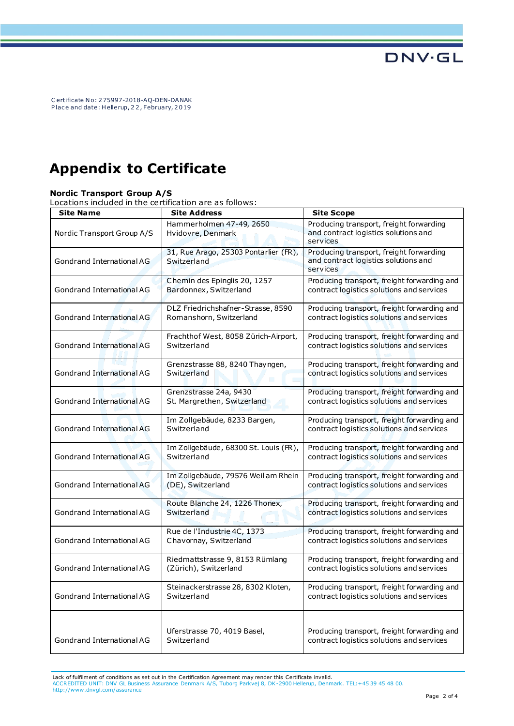C ertificate N o: 2 75997-2018-AQ-DEN-DANAK P lac e and date: H ellerup, 2 2, February, 2 0 19

## **Appendix to Certificate**

## **Nordic Transport Group A/S**

Locations included in the certification are as follows:

| <b>Site Name</b>                 | <b>Site Address</b>                                           | <b>Site Scope</b>                                                                           |
|----------------------------------|---------------------------------------------------------------|---------------------------------------------------------------------------------------------|
| Nordic Transport Group A/S       | Hammerholmen 47-49, 2650<br>Hvidovre, Denmark                 | Producing transport, freight forwarding<br>and contract logistics solutions and<br>services |
| Gondrand International AG        | 31, Rue Arago, 25303 Pontarlier (FR),<br>Switzerland          | Producing transport, freight forwarding<br>and contract logistics solutions and<br>services |
| Gondrand International AG        | Chemin des Epinglis 20, 1257<br>Bardonnex, Switzerland        | Producing transport, freight forwarding and<br>contract logistics solutions and services    |
| Gondrand International AG        | DLZ Friedrichshafner-Strasse, 8590<br>Romanshorn, Switzerland | Producing transport, freight forwarding and<br>contract logistics solutions and services    |
| Gondrand International AG        | Frachthof West, 8058 Zürich-Airport,<br>Switzerland           | Producing transport, freight forwarding and<br>contract logistics solutions and services    |
| <b>Gondrand International AG</b> | Grenzstrasse 88, 8240 Thayngen,<br>Switzerland                | Producing transport, freight forwarding and<br>contract logistics solutions and services    |
| Gondrand International AG        | Grenzstrasse 24a, 9430<br>St. Margrethen, Switzerland         | Producing transport, freight forwarding and<br>contract logistics solutions and services    |
| Gondrand International AG        | Im Zollgebäude, 8233 Bargen,<br>Switzerland                   | Producing transport, freight forwarding and<br>contract logistics solutions and services    |
| Gondrand International AG        | Im Zollgebäude, 68300 St. Louis (FR),<br>Switzerland          | Producing transport, freight forwarding and<br>contract logistics solutions and services    |
| Gondrand International AG        | Im Zollgebäude, 79576 Weil am Rhein<br>(DE), Switzerland      | Producing transport, freight forwarding and<br>contract logistics solutions and services    |
| Gondrand International AG        | Route Blanche 24, 1226 Thonex,<br>Switzerland                 | Producing transport, freight forwarding and<br>contract logistics solutions and services    |
| Gondrand International AG        | Rue de l'Industrie 4C, 1373<br>Chavornay, Switzerland         | Producing transport, freight forwarding and<br>contract logistics solutions and services    |
| Gondrand International AG        | Riedmattstrasse 9, 8153 Rümlang<br>(Zürich), Switzerland      | Producing transport, freight forwarding and<br>contract logistics solutions and services    |
| Gondrand International AG        | Steinackerstrasse 28, 8302 Kloten,<br>Switzerland             | Producing transport, freight forwarding and<br>contract logistics solutions and services    |
| Gondrand International AG        | Uferstrasse 70, 4019 Basel,<br>Switzerland                    | Producing transport, freight forwarding and<br>contract logistics solutions and services    |

Lack of fulfilment of conditions as set out in the Certification Agreement may render this Certificate invalid. ACCREDITED UNIT: DNV GL Business Assurance Denmark A/S, Tuborg Parkvej 8, DK-2900 Hellerup, Denmark. TEL:+45 39 45 48 00. http://www.dnvgl.com/assurance

**DNV·GL**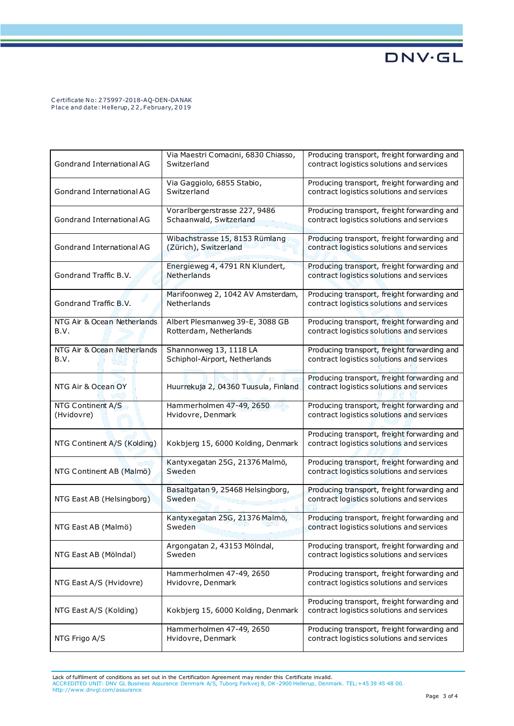C ertificate N o: 2 75997-2018-AQ-DEN-DANAK P lac e and date: H ellerup, 2 2, February, 2 0 19

| Gondrand International AG           | Via Maestri Comacini, 6830 Chiasso,<br>Switzerland        | Producing transport, freight forwarding and<br>contract logistics solutions and services |
|-------------------------------------|-----------------------------------------------------------|------------------------------------------------------------------------------------------|
| Gondrand International AG           | Via Gaggiolo, 6855 Stabio,<br>Switzerland                 | Producing transport, freight forwarding and<br>contract logistics solutions and services |
| Gondrand International AG           | Vorarlbergerstrasse 227, 9486<br>Schaanwald, Switzerland  | Producing transport, freight forwarding and<br>contract logistics solutions and services |
| Gondrand International AG           | Wibachstrasse 15, 8153 Rümlang<br>(Zürich), Switzerland   | Producing transport, freight forwarding and<br>contract logistics solutions and services |
| Gondrand Traffic B.V.               | Energieweg 4, 4791 RN Klundert,<br>Netherlands            | Producing transport, freight forwarding and<br>contract logistics solutions and services |
| Gondrand Traffic B.V.               | Marifoonweg 2, 1042 AV Amsterdam,<br>Netherlands          | Producing transport, freight forwarding and<br>contract logistics solutions and services |
| NTG Air & Ocean Netherlands<br>B.V. | Albert Plesmanweg 39-E, 3088 GB<br>Rotterdam, Netherlands | Producing transport, freight forwarding and<br>contract logistics solutions and services |
| NTG Air & Ocean Netherlands<br>B.V. | Shannonweg 13, 1118 LA<br>Schiphol-Airport, Netherlands   | Producing transport, freight forwarding and<br>contract logistics solutions and services |
| NTG Air & Ocean OY                  | Huurrekuja 2, 04360 Tuusula, Finland                      | Producing transport, freight forwarding and<br>contract logistics solutions and services |
| NTG Continent A/S<br>(Hvidovre)     | Hammerholmen 47-49, 2650<br>Hvidovre, Denmark             | Producing transport, freight forwarding and<br>contract logistics solutions and services |
| NTG Continent A/S (Kolding)         | Kokbjerg 15, 6000 Kolding, Denmark                        | Producing transport, freight forwarding and<br>contract logistics solutions and services |
| NTG Continent AB (Malmö)            | Kantyxegatan 25G, 21376 Malmö,<br>Sweden                  | Producing transport, freight forwarding and<br>contract logistics solutions and services |
| NTG East AB (Helsingborg)           | Basaltgatan 9, 25468 Helsingborg,<br><b>Sweden</b>        | Producing transport, freight forwarding and<br>contract logistics solutions and services |
| NTG East AB (Malmö)                 | Kantyxegatan 25G, 21376 Malmö,<br>Sweden                  | Producing transport, freight forwarding and<br>contract logistics solutions and services |
| NTG East AB (Mölndal)               | Argongatan 2, 43153 Mölndal,<br>Sweden                    | Producing transport, freight forwarding and<br>contract logistics solutions and services |
| NTG East A/S (Hvidovre)             | Hammerholmen 47-49, 2650<br>Hvidovre, Denmark             | Producing transport, freight forwarding and<br>contract logistics solutions and services |
| NTG East A/S (Kolding)              | Kokbjerg 15, 6000 Kolding, Denmark                        | Producing transport, freight forwarding and<br>contract logistics solutions and services |
| NTG Frigo A/S                       | Hammerholmen 47-49, 2650<br>Hvidovre, Denmark             | Producing transport, freight forwarding and<br>contract logistics solutions and services |

Lack of fulfilment of conditions as set out in the Certification Agreement may render this Certificate invalid.<br>ACCREDITED UNIT: DNV GL Business Assurance Denmark A/S, Tuborg Parkvej 8, DK-2900 Hellerup, Denmark. TEL:+45 3

**DNV·GL**